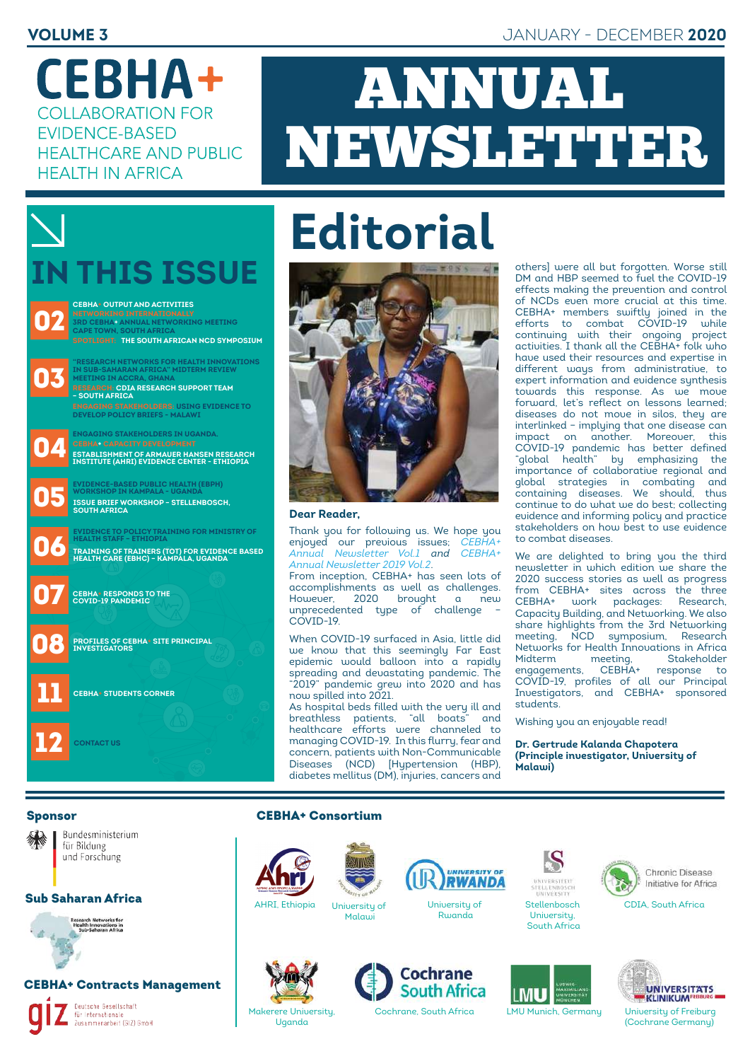**CEBHA+ COLLABORATION FOR FVIDENCE-BASED HEALTHCARE AND PUBLIC HEALTH IN AFRICA** 

# ANNUAL NEWSLETTER

# **IN THIS ISSUE**

**02** 03  $\blacksquare$ **07.**  $\bullet$  $\blacksquare$ 08 11 **3rd CEBHA+ Annual Networking meeting Cape Town, South Africa SPOTLIGHT: THE SOUTH AFRICAN NCD SYMPOSIUM Research: CDIA research support team – South Africa CEBHA+ Output and Activities "Research Networks for Health Innovations in Sub-Saharan Africa" Midterm Review meeting in Accra, Ghana Engaging Stakeholders: Using Evidence to develop Policy Briefs - Malawi Engaging stakeholders in Uganda. Establishment of Armauer Hansen Research Institute (AHRI) Evidence Center - Ethiopia Evidence-Based Public Health (EBPH) workshop in Kampala - Uganda Issue Brief workshop – Stellenbosch, South Africa Evidence to Policy training for Ministry of Health staff – Ethiopia Training of Trainers (TOT) for Evidence Based Health Care (EBHC) – Kampala, Uganda CEBHA+ responds to the COVID-19 pandemic Profiles of CEBHA+ Site Principal Investigators CEBHA+ Students Corner**

12 **CONTACT US**

# **Editorial**



#### **Dear Reader,**

Thank you for following us. We hope you enjoyed our previous issues; *[CEBHA+](https://92f34fc7-b540-407c-9043-793b6fe2eb44.filesusr.com/ugd/e0d746_13797f6037fc47ab90ca2dfe56257982.pdf)  [Annual Newsletter Vol.1](https://92f34fc7-b540-407c-9043-793b6fe2eb44.filesusr.com/ugd/e0d746_13797f6037fc47ab90ca2dfe56257982.pdf) and [CEBHA+](https://92f34fc7-b540-407c-9043-793b6fe2eb44.filesusr.com/ugd/e0d746_6fdf9f66a7ab47a38a02fb2caab6cc79.pdf)  [Annual Newsletter 2019 Vol.2](https://92f34fc7-b540-407c-9043-793b6fe2eb44.filesusr.com/ugd/e0d746_6fdf9f66a7ab47a38a02fb2caab6cc79.pdf)*.

From inception, CEBHA+ has seen lots of accomplishments as well as challenges. However, 2020 brought a new unprecedented type of challenge – COVID-19.

When COVID-19 surfaced in Asia, little did we know that this seemingly Far East epidemic would balloon into a rapidly spreading and devastating pandemic. The "2019" pandemic grew into 2020 and has now spilled into 2021.

As hospital beds filled with the very ill and breathless patients, "all boats" and healthcare efforts were channeled to managing COVID-19. In this flurry, fear and concern, patients with Non-Communicable Diseases (NCD) [Hypertension (HBP), diabetes mellitus (DM), injuries, cancers and

others] were all but forgotten. Worse still DM and HBP seemed to fuel the COVID-19 effects making the prevention and control of NCDs even more crucial at this time. CEBHA+ members swiftly joined in the efforts to combat COVID-19 while continuing with their ongoing project activities. I thank all the CEBHA+ folk who have used their resources and expertise in different ways from administrative, to expert information and evidence synthesis towards this response. As we move forward, let's reflect on lessons learned; diseases do not move in silos, they are interlinked – implying that one disease can impact on another. Moreover, this COVID-19 pandemic has better defined "global health" by emphasizing the importance of collaborative regional and global strategies in combating and containing diseases. We should, thus continue to do what we do best; collecting evidence and informing policy and practice stakeholders on how best to use evidence to combat diseases.

We are delighted to bring you the third newsletter in which edition we share the 2020 success stories as well as progress from CEBHA+ sites across the three<br>CEBHA+ work packages: Research work packages: Capacity Building, and Networking. We also share highlights from the 3rd Networking meeting, NCD symposium, Research Networks for Health Innovations in Africa meeting, Stakeholder<br>CEBHA+ response to engagements, CEBHA+ response to COVID-19, profiles of all our Principal Investigators, and CEBHA+ sponsored students.

Wishing you an enjoyable read!

**Dr. Gertrude Kalanda Chapotera (Principle investigator, University of Malawi)**

#### Sponsor



Bundesministerium für Bildung und Forschung

#### Sub Saharan Africa

Research Networks for<br>Health Innovations in

#### CEBHA+ Contracts Management

Deutsche Gesellschaft Figure deserts<br>
Für Internationale<br>
Zusammenarbeit (GIZ) GmbH

#### CEBHA+ Consortium











Uganda



S



MU



Initiative for Africa

CDIA, South Africa



Cochrane, South Africa LMU Munich, Germany University of Freiburg (Cochrane Germany)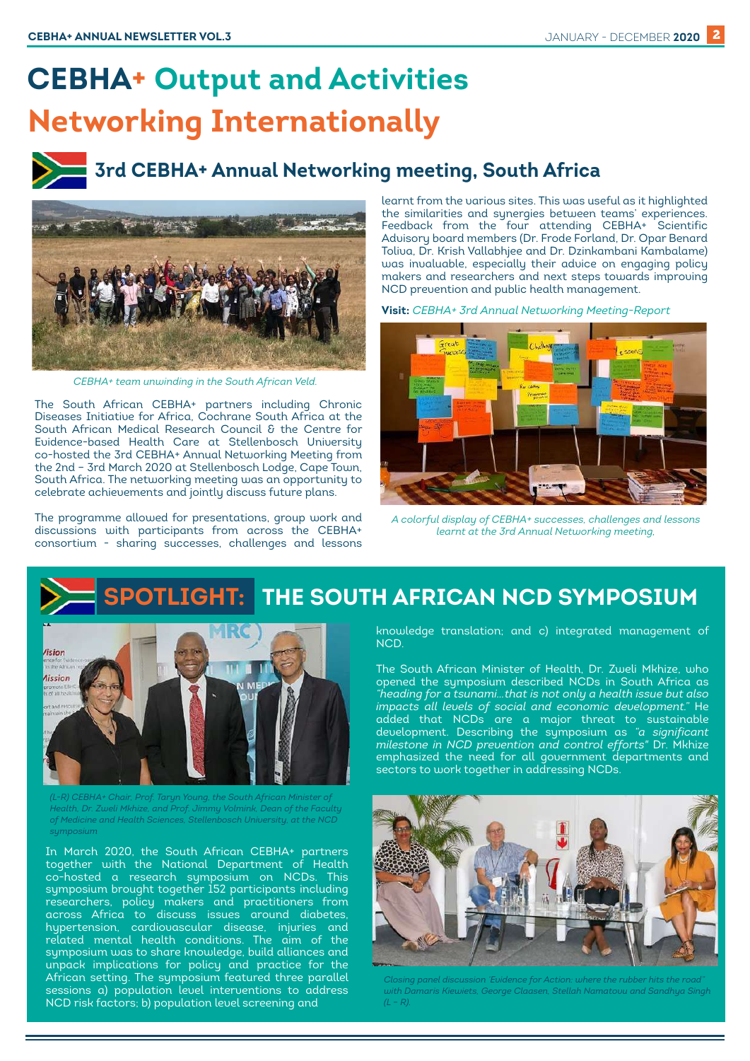# **CEBHA+ Output and Activities Networking Internationally**

## **3rd CEBHA+ Annual Networking meeting, South Africa**



 *CEBHA+ team unwinding in the South African Veld.*

The South African CEBHA+ partners including Chronic Diseases Initiative for Africa, Cochrane South Africa at the South African Medical Research Council & the Centre for Evidence-based Health Care at Stellenbosch University co-hosted the 3rd CEBHA+ Annual Networking Meeting from the 2nd – 3rd March 2020 at Stellenbosch Lodge, Cape Town, South Africa. The networking meeting was an opportunity to celebrate achievements and jointly discuss future plans.

The programme allowed for presentations, group work and discussions with participants from across the CEBHA+ consortium - sharing successes, challenges and lessons

learnt from the various sites. This was useful as it highlighted the similarities and synergies between teams' experiences. Feedback from the four attending CEBHA+ Scientific Advisory board members (Dr. Frode Forland, Dr. Opar Benard Toliva, Dr. Krish Vallabhjee and Dr. Dzinkambani Kambalame) was invaluable, especially their advice on engaging policy makers and researchers and next steps towards improving NCD prevention and public health management.

**Visit:** *[CEBHA+ 3rd Annual Networking Meeting-Report](https://www.cebhc.co.za/files/2021/03/CEBHANetworking-Meeting-2_3-March-2020_Report-final.pdf)*



*A colorful display of CEBHA+ successes, challenges and lessons learnt at the 3rd Annual Networking meeting,* 

## **SPOTLIGHT: THE SOUTH AFRICAN NCD SYMPOSIUM**



*(L-R) CEBHA+ Chair, Prof. Taryn Young, the South African Minister of Health, Dr. Zweli Mkhize, and Prof. Jimmy Volmink, Dean of the Faculty of Medicine and Health Sciences, Stellenbosch University, at the NCD symposium*

In March 2020, the South African CEBHA+ partners together with the National Department of Health co-hosted a research symposium on NCDs. This symposium brought together 152 participants including researchers, policy makers and practitioners from across Africa to discuss issues around diabetes, hypertension, cardiovascular disease, injuries and related mental health conditions. The aim of the symposium was to share knowledge, build alliances and unpack implications for policy and practice for the African setting. The symposium featured three parallel sessions a) population level interventions to address NCD risk factors; b) population level screening and

knowledge translation; and c) integrated management of NCD.

The South African Minister of Health, Dr. Zweli Mkhize, who opened the symposium described NCDs in South Africa as *"heading for a tsunami…that is not only a health issue but also impacts all levels of social and economic development.*" added that NCDs are a major threat to sustainable development. Describing the symposium as *"a significant milestone in NCD prevention and control efforts"* Dr. Mkhize emphasized the need for all government departments and sectors to work together in addressing NCDs.



*Closing panel discussion 'Evidence for Action: where the rubber hits the road" with Damaris Kiewiets, George Claasen, Stellah Namatovu and Sandhya Singh (L – R).*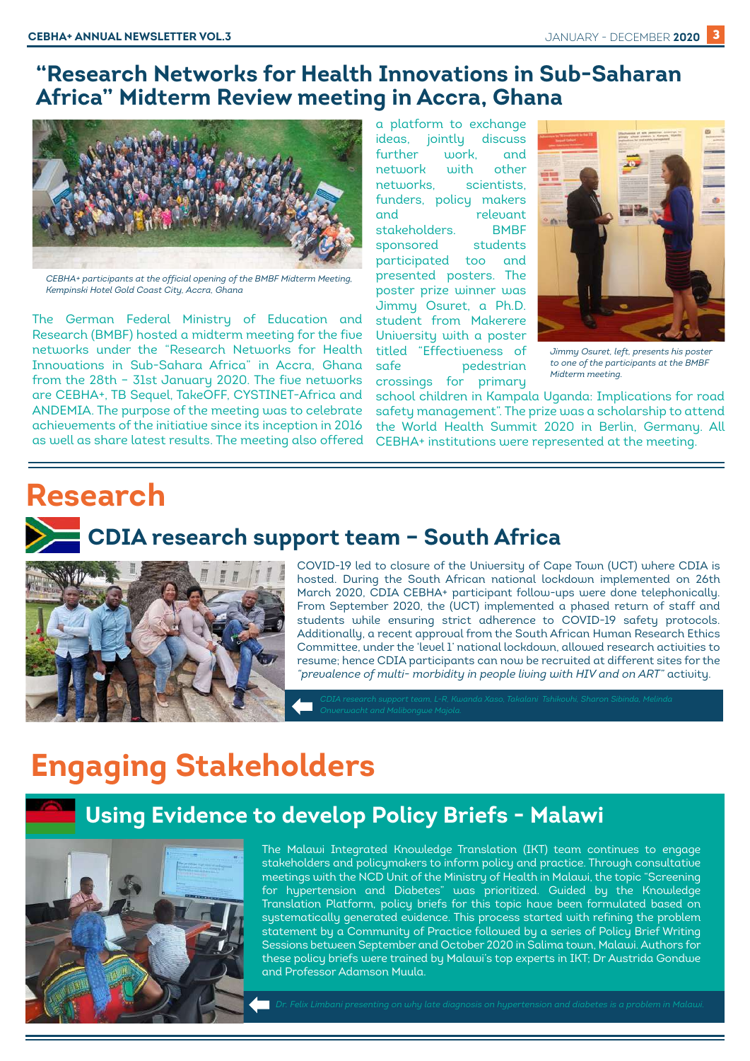### **"Research Networks for Health Innovations in Sub-Saharan Africa" Midterm Review meeting in Accra, Ghana**



*CEBHA+ participants at the official opening of the BMBF Midterm Meeting, Kempinski Hotel Gold Coast City, Accra, Ghana*

The German Federal Ministry of Education and Research (BMBF) hosted a midterm meeting for the five networks under the "Research Networks for Health Innovations in Sub-Sahara Africa" in Accra, Ghana from the 28th – 31st January 2020. The five networks are CEBHA+, TB Sequel, TakeOFF, CYSTINET-Africa and ANDEMIA. The purpose of the meeting was to celebrate achievements of the initiative since its inception in 2016 as well as share latest results. The meeting also offered

a platform to exchange ideas, jointly discuss further work, and network with other networks, scientists, funders, policy makers and relevant stakeholders. BMBF sponsored students participated too and presented posters. The poster prize winner was Jimmy Osuret, a Ph.D. student from Makerere University with a poster titled "Effectiveness of safe pedestrian crossings for primary



*Jimmy Osuret, left, presents his poster to one of the participants at the BMBF Midterm meeting.*

school children in Kampala Uganda: Implications for road safety management". The prize was a scholarship to attend the World Health Summit 2020 in Berlin, Germany. All CEBHA+ institutions were represented at the meeting.

# **Research CDIA research support team – South Africa**



COVID-19 led to closure of the University of Cape Town (UCT) where CDIA is hosted. During the South African national lockdown implemented on 26th March 2020, CDIA CEBHA+ participant follow-ups were done telephonically. From September 2020, the (UCT) implemented a phased return of staff and students while ensuring strict adherence to COVID-19 safety protocols. Additionally, a recent approval from the South African Human Research Ethics Committee, under the 'level 1' national lockdown, allowed research activities to resume; hence CDIA participants can now be recruited at different sites for the *"prevalence of multi- morbidity in people living with HIV and on ART"* activity.

# **Engaging Stakeholders**

## **Using Evidence to develop Policy Briefs - Malawi**



The Malawi Integrated Knowledge Translation (IKT) team continues to engage stakeholders and policymakers to inform policy and practice. Through consultative meetings with the NCD Unit of the Ministry of Health in Malawi, the topic "Screening for hypertension and Diabetes" was prioritized. Guided by the Knowledge Translation Platform, policy briefs for this topic have been formulated based on systematically generated evidence. This process started with refining the problem statement by a Community of Practice followed by a series of Policy Brief Writing Sessions between September and October 2020 in Salima town, Malawi. Authors for these policy briefs were trained by Malawi's top experts in IKT; Dr Austrida Gondwe and Professor Adamson Muula.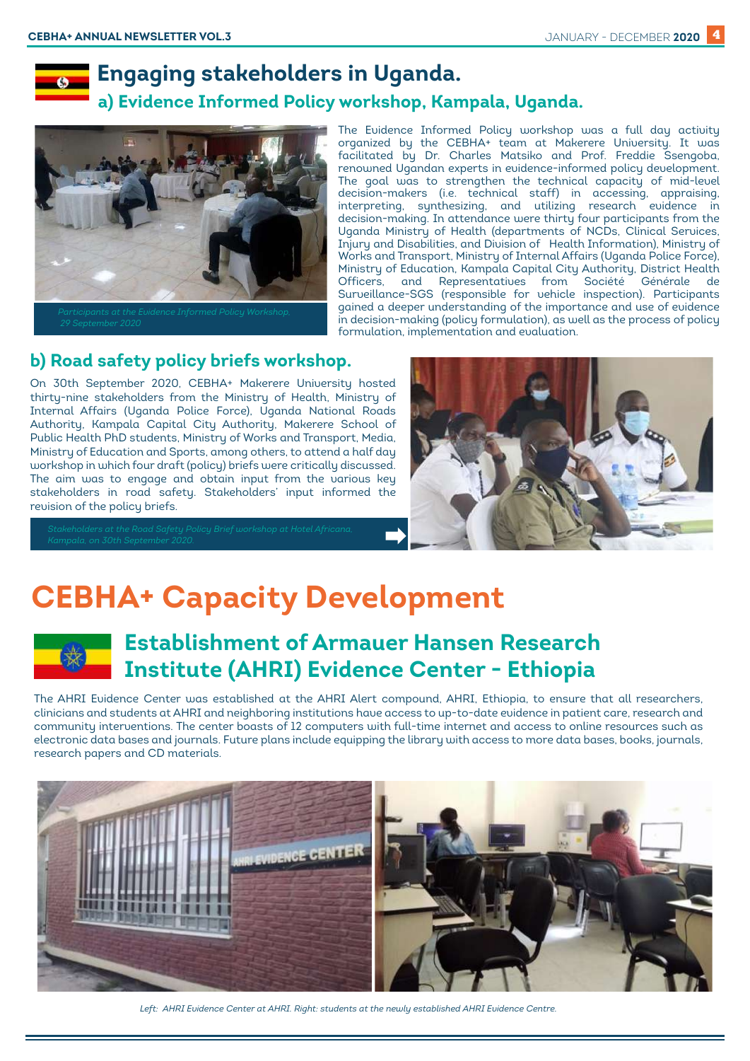

### **Engaging stakeholders in Uganda.**

 **a) Evidence Informed Policy workshop, Kampala, Uganda.**



The Evidence Informed Policy workshop was a full day activity organized by the CEBHA+ team at Makerere University. It was facilitated by Dr. Charles Matsiko and Prof. Freddie Ssengoba, renowned Ugandan experts in evidence-informed policy development. The goal was to strengthen the technical capacity of mid-level decision-makers (i.e. technical staff) in accessing, appraising, interpreting, synthesizing, and utilizing research evidence in decision-making. In attendance were thirty four participants from the Uganda Ministry of Health (departments of NCDs, Clinical Services, Injury and Disabilities, and Division of Health Information), Ministry of Works and Transport, Ministry of Internal Affairs (Uganda Police Force), Ministry of Education, Kampala Capital City Authority, District Health Officers, and Representatives from Société Générale de Surveillance-SGS (responsible for vehicle inspection). Participants gained a deeper understanding of the importance and use of evidence in decision-making (policy formulation), as well as the process of policy formulation, implementation and evaluation.

#### **b) Road safety policy briefs workshop.**

On 30th September 2020, CEBHA+ Makerere University hosted thirty-nine stakeholders from the Ministry of Health, Ministry of Internal Affairs (Uganda Police Force), Uganda National Roads Authority, Kampala Capital City Authority, Makerere School of Public Health PhD students, Ministry of Works and Transport, Media, Ministry of Education and Sports, among others, to attend a half day workshop in which four draft (policy) briefs were critically discussed. The aim was to engage and obtain input from the various key stakeholders in road safety. Stakeholders' input informed the revision of the policy briefs.



# **CEBHA+ Capacity Development**



## **Establishment of Armauer Hansen Research Institute (AHRI) Evidence Center - Ethiopia**

The AHRI Evidence Center was established at the AHRI Alert compound, AHRI, Ethiopia, to ensure that all researchers, clinicians and students at AHRI and neighboring institutions have access to up-to-date evidence in patient care, research and community interventions. The center boasts of 12 computers with full-time internet and access to online resources such as electronic data bases and journals. Future plans include equipping the library with access to more data bases, books, journals, research papers and CD materials.



Left: AHRI Evidence Center at AHRI. Right: students at the newly established AHRI Evidence Centre.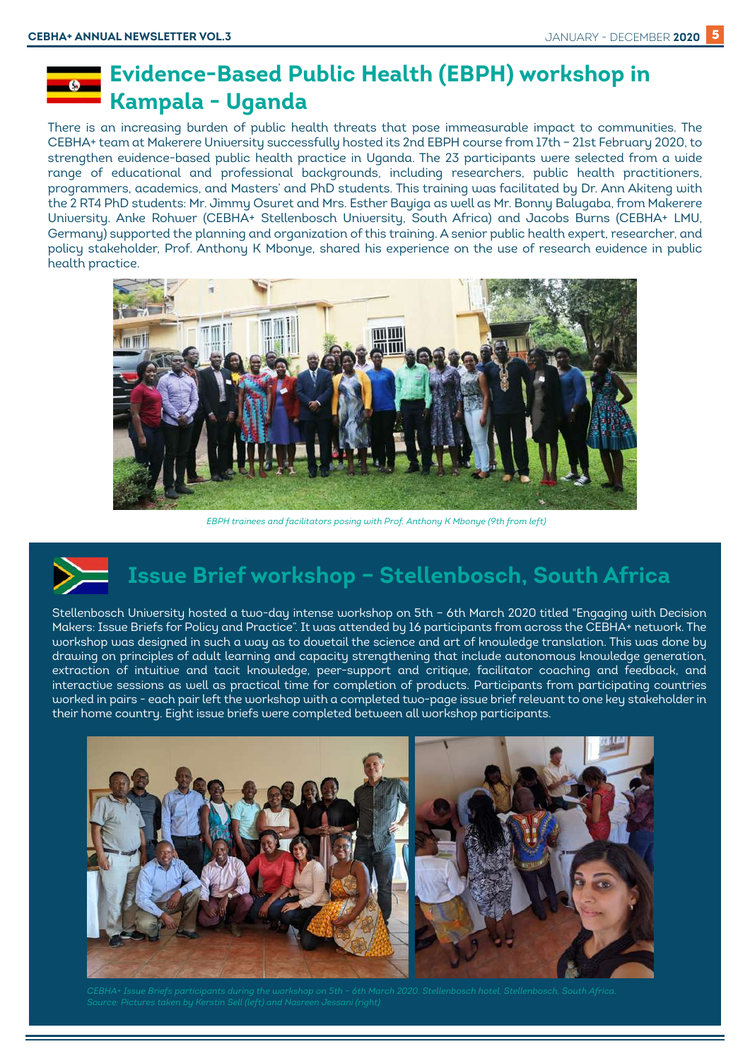## **Evidence-Based Public Health (EBPH) workshop in Kampala - Uganda**

There is an increasing burden of public health threats that pose immeasurable impact to communities. The CEBHA+ team at Makerere University successfully hosted its 2nd EBPH course from 17th – 21st February 2020, to strengthen evidence-based public health practice in Uganda. The 23 participants were selected from a wide range of educational and professional backgrounds, including researchers, public health practitioners, programmers, academics, and Masters' and PhD students. This training was facilitated by Dr. Ann Akiteng with the 2 RT4 PhD students: Mr. Jimmy Osuret and Mrs. Esther Bayiga as well as Mr. Bonny Balugaba, from Makerere University. Anke Rohwer (CEBHA+ Stellenbosch University, South Africa) and Jacobs Burns (CEBHA+ LMU, Germany) supported the planning and organization of this training. A senior public health expert, researcher, and policy stakeholder, Prof. Anthony K Mbonye, shared his experience on the use of research evidence in public health practice.



 *EBPH trainees and facilitators posing with Prof. Anthony K Mbonye (9th from left)*

# **Issue Brief workshop – Stellenbosch, South Africa**

Stellenbosch University hosted a two-day intense workshop on 5th – 6th March 2020 titled "Engaging with Decision Makers: Issue Briefs for Policy and Practice". It was attended by 16 participants from across the CEBHA+ network. The workshop was designed in such a way as to dovetail the science and art of knowledge translation. This was done by drawing on principles of adult learning and capacity strengthening that include autonomous knowledge generation, extraction of intuitive and tacit knowledge, peer-support and critique, facilitator coaching and feedback, and interactive sessions as well as practical time for completion of products. Participants from participating countries worked in pairs - each pair left the workshop with a completed two-page issue brief relevant to one key stakeholder in their home country. Eight issue briefs were completed between all workshop participants.

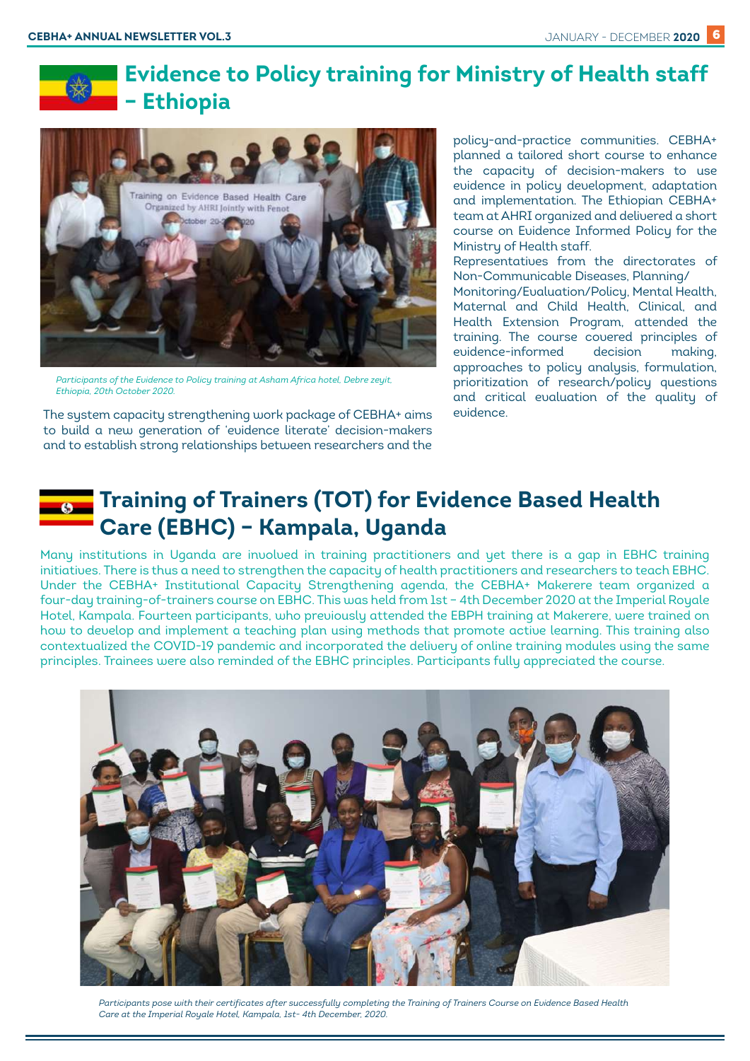## **Evidence to Policy training for Ministry of Health staff – Ethiopia**



*Participants of the Evidence to Policy training at Asham Africa hotel, Debre zeyit, Ethiopia, 20th October 2020.*

The system capacity strengthening work package of CEBHA+ aims to build a new generation of 'evidence literate' decision-makers and to establish strong relationships between researchers and the

policy-and-practice communities. CEBHA+ planned a tailored short course to enhance the capacity of decision-makers to use evidence in policy development, adaptation and implementation. The Ethiopian CEBHA+ team at AHRI organized and delivered a short course on Evidence Informed Policy for the Ministry of Health staff.

Representatives from the directorates of Non-Communicable Diseases, Planning/ Monitoring/Evaluation/Policy, Mental Health,

Maternal and Child Health, Clinical, and Health Extension Program, attended the training. The course covered principles of evidence-informed decision making, approaches to policy analysis, formulation, prioritization of research/policy questions and critical evaluation of the quality of evidence.

## **Training of Trainers (TOT) for Evidence Based Health Care (EBHC) – Kampala, Uganda**

Many institutions in Uganda are involved in training practitioners and yet there is a gap in EBHC training initiatives. There is thus a need to strengthen the capacity of health practitioners and researchers to teach EBHC. Under the CEBHA+ Institutional Capacity Strengthening agenda, the CEBHA+ Makerere team organized a four-day training-of-trainers course on EBHC. This was held from 1st – 4th December 2020 at the Imperial Royale Hotel, Kampala. Fourteen participants, who previously attended the EBPH training at Makerere, were trained on how to develop and implement a teaching plan using methods that promote active learning. This training also contextualized the COVID-19 pandemic and incorporated the delivery of online training modules using the same principles. Trainees were also reminded of the EBHC principles. Participants fully appreciated the course.



*Participants pose with their certificates after successfully completing the Training of Trainers Course on Evidence Based Health Care at the Imperial Royale Hotel, Kampala, 1st- 4th December, 2020.*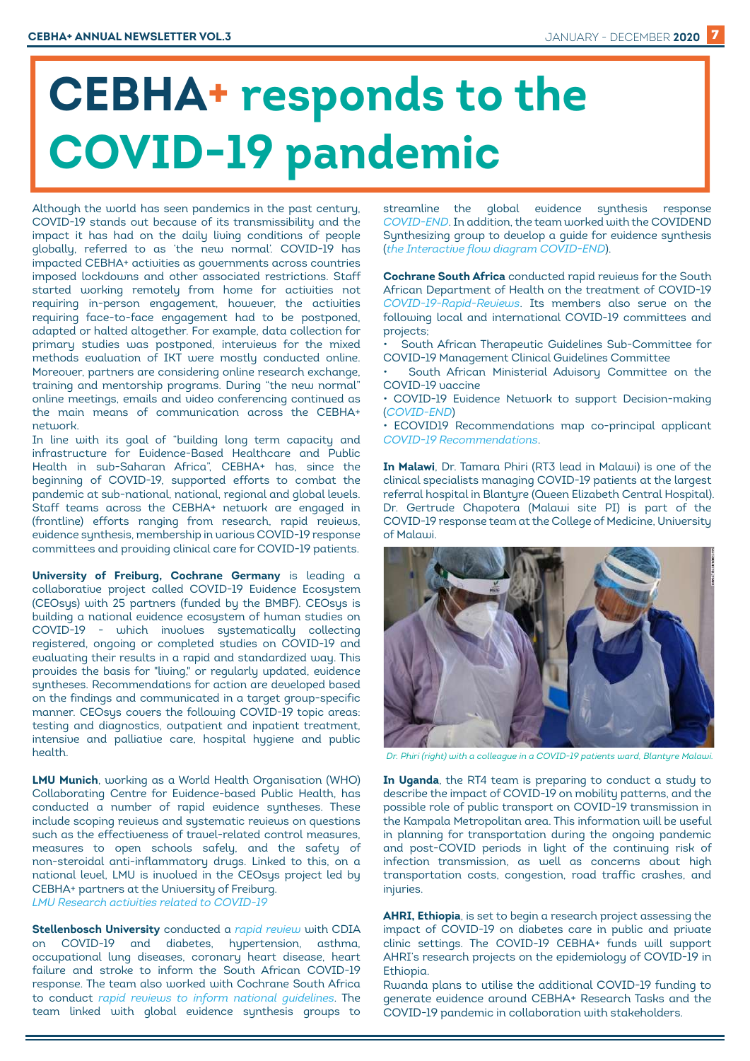# **CEBHA+ responds to the COVID-19 pandemic**

Although the world has seen pandemics in the past century, COVID-19 stands out because of its transmissibility and the impact it has had on the daily living conditions of people globally, referred to as 'the new normal'. COVID-19 has impacted CEBHA+ activities as governments across countries imposed lockdowns and other associated restrictions. Staff started working remotely from home for activities not requiring in-person engagement, however, the activities requiring face-to-face engagement had to be postponed, adapted or halted altogether. For example, data collection for primary studies was postponed, interviews for the mixed methods evaluation of IKT were mostly conducted online. Moreover, partners are considering online research exchange, training and mentorship programs. During "the new normal" online meetings, emails and video conferencing continued as the main means of communication across the CEBHA+ network

In line with its goal of "building long term capacity and infrastructure for Evidence-Based Healthcare and Public Health in sub-Saharan Africa", CEBHA+ has, since the beginning of COVID-19, supported efforts to combat the pandemic at sub-national, national, regional and global levels. Staff teams across the CEBHA+ network are engaged in (frontline) efforts ranging from research, rapid reviews, evidence synthesis, membership in various COVID-19 response committees and providing clinical care for COVID-19 patients.

**University of Freiburg, Cochrane Germany** is leading a collaborative project called COVID-19 Evidence Ecosystem (CEOsys) with 25 partners (funded by the BMBF). CEOsys is building a national evidence ecosystem of human studies on COVID-19 - which involves systematically collecting registered, ongoing or completed studies on COVID-19 and evaluating their results in a rapid and standardized way. This provides the basis for "living," or regularly updated, evidence syntheses. Recommendations for action are developed based on the findings and communicated in a target group-specific manner. CEOsys covers the following COVID-19 topic areas: testing and diagnostics, outpatient and inpatient treatment, intensive and palliative care, hospital hygiene and public health.

**LMU Munich**, working as a World Health Organisation (WHO) Collaborating Centre for Evidence-based Public Health, has conducted a number of rapid evidence syntheses. These include scoping reviews and systematic reviews on questions such as the effectiveness of travel-related control measures, measures to open schools safely, and the safety of non-steroidal anti-inflammatory drugs. Linked to this, on a national level, LMU is involved in the CEOsys project led by CEBHA+ partners at the University of Freiburg. *[LMU Research activities related to COVID-19](https://ihrs-en.ibe.med.uni-muenchen.de/covid-19/index.html)* 

**Stellenbosch University** conducted a *[rapid review](https://www.cebhc.co.za/files/2020/08/BHPSA-COVID-NCD-report-16-07.pdf)* with CDIA on COVID-19 and diabetes, hypertension, asthma, occupational lung diseases, coronary heart disease, heart failure and stroke to inform the South African COVID-19 response. The team also worked with Cochrane South Africa to conduct *[rapid reviews to inform national guidelines](https://www.cochrane.org/news/cochrane-south-africa-vs-covid-19-very-rapid-reviews-inform-national-treatment-guidelines)*. The team linked with global evidence synthesis groups to

streamline the global evidence synthesis response *[COVID-END](https://www.mcmasterforum.org/networks/covidend)*. In addition, the team worked with the COVIDEND Synthesizing group to develop a guide for evidence synthesis (*[the Interactive flow diagram COVID-END](https://www.mcmasterforum.org/networks/covid-end/resources-for-researchers/supports-for-evidence-synthesizers/interactive-flow-diagram)*).

**Cochrane South Africa** conducted rapid reviews for the South African Department of Health on the treatment of COVID-19 *[COVID-19-Rapid-Reviews](http://www.health.gov.za/covid-19-rapid-reviews/)*. Its members also serve on the following local and international COVID-19 committees and projects;

• South African Therapeutic Guidelines Sub-Committee for COVID-19 Management Clinical Guidelines Committee

South African Ministerial Advisory Committee on the COVID-19 vaccine

• COVID-19 Evidence Network to support Decision-making (*[COVID-END](https://www.mcmasterforum.org/networks/covid-end)*)

• ECOVID19 Recommendations map co-principal applicant *[COVID-19 Recommendations](https://covid19.evidenceprime.ca/)*.

**In Malawi**, Dr. Tamara Phiri (RT3 lead in Malawi) is one of the clinical specialists managing COVID-19 patients at the largest referral hospital in Blantyre (Queen Elizabeth Central Hospital). Dr. Gertrude Chapotera (Malawi site PI) is part of the COVID-19 response team at the College of Medicine, University of Malawi.



*Dr. Phiri (right) with a colleague in a COVID-19 patients ward, Blantyre Malawi.*

**In Uganda**, the RT4 team is preparing to conduct a study to describe the impact of COVID-19 on mobility patterns, and the possible role of public transport on COVID-19 transmission in the Kampala Metropolitan area. This information will be useful in planning for transportation during the ongoing pandemic and post-COVID periods in light of the continuing risk of infection transmission, as well as concerns about high transportation costs, congestion, road traffic crashes, and injuries.

**AHRI, Ethiopia**, is set to begin a research project assessing the impact of COVID-19 on diabetes care in public and private clinic settings. The COVID-19 CEBHA+ funds will support AHRI's research projects on the epidemiology of COVID-19 in Ethiopia.

Rwanda plans to utilise the additional COVID-19 funding to generate evidence around CEBHA+ Research Tasks and the COVID-19 pandemic in collaboration with stakeholders.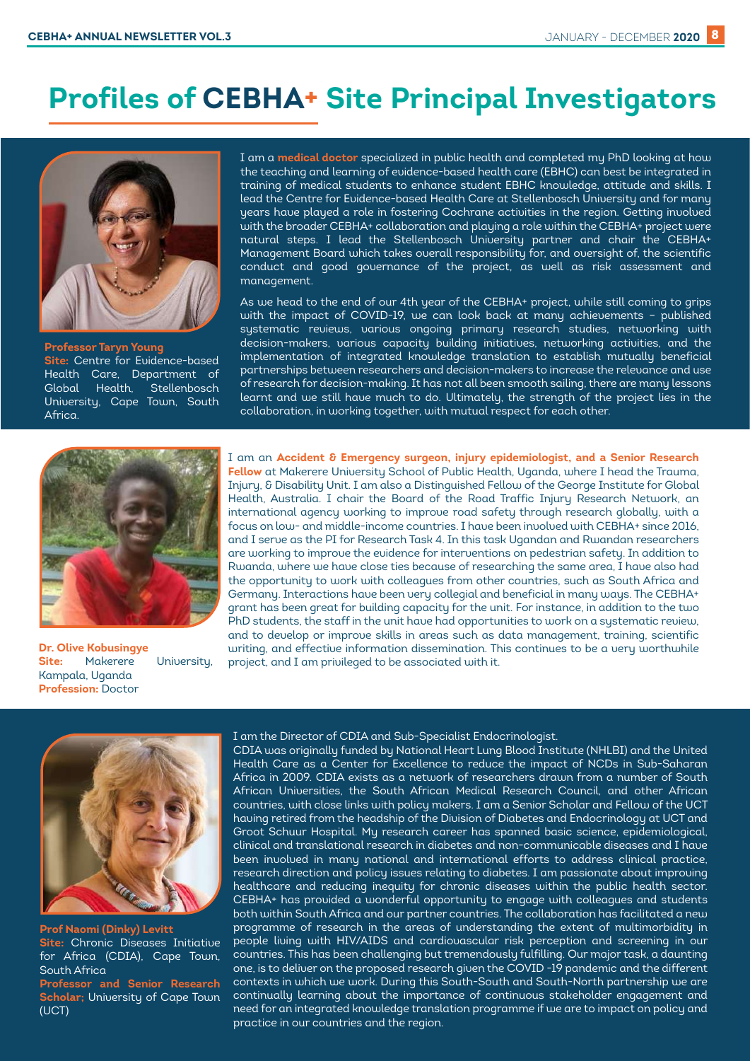## **Profiles of CEBHA+ Site Principal Investigators**



**Professor Taryn Young Site:** Centre for Evidence-based Health Care, Department of Global Health, Stellenbosch University, Cape Town, South Africa.

I am a **medical doctor** specialized in public health and completed my PhD looking at how the teaching and learning of evidence-based health care (EBHC) can best be integrated in training of medical students to enhance student EBHC knowledge, attitude and skills. I lead the Centre for Evidence-based Health Care at Stellenbosch University and for many years have played a role in fostering Cochrane activities in the region. Getting involved with the broader CEBHA+ collaboration and playing a role within the CEBHA+ project were natural steps. I lead the Stellenbosch University partner and chair the CEBHA+ Management Board which takes overall responsibility for, and oversight of, the scientific conduct and good governance of the project, as well as risk assessment and management.

As we head to the end of our 4th year of the CEBHA+ project, while still coming to grips with the impact of COVID-19, we can look back at many achievements – published systematic reviews, various ongoing primary research studies, networking with decision-makers, various capacity building initiatives, networking activities, and the implementation of integrated knowledge translation to establish mutually beneficial partnerships between researchers and decision-makers to increase the relevance and use of research for decision-making. It has not all been smooth sailing, there are many lessons learnt and we still have much to do. Ultimately, the strength of the project lies in the collaboration, in working together, with mutual respect for each other.



**Dr. Olive Kobusingye Site:** Makerere University, Kampala, Uganda **Profession:** Doctor

I am an **Accident & Emergency surgeon, injury epidemiologist, and a Senior Research Fellow** at Makerere University School of Public Health, Uganda, where I head the Trauma, Injury, & Disability Unit. I am also a Distinguished Fellow of the George Institute for Global Health, Australia. I chair the Board of the Road Traffic Injury Research Network, an international agency working to improve road safety through research globally, with a focus on low- and middle-income countries. I have been involved with CEBHA+ since 2016, and I serve as the PI for Research Task 4. In this task Ugandan and Rwandan researchers are working to improve the evidence for interventions on pedestrian safety. In addition to Rwanda, where we have close ties because of researching the same area, I have also had the opportunity to work with colleagues from other countries, such as South Africa and Germany. Interactions have been very collegial and beneficial in many ways. The CEBHA+ grant has been great for building capacity for the unit. For instance, in addition to the two PhD students, the staff in the unit have had opportunities to work on a systematic review, and to develop or improve skills in areas such as data management, training, scientific writing, and effective information dissemination. This continues to be a very worthwhile project, and I am privileged to be associated with it.



**Prof Naomi (Dinky) Levitt Site:** Chronic Diseases Initiative for Africa (CDIA), Cape Town, South Africa **Professor and Senior Research Scholar;** University of Cape Town (UCT)

#### I am the Director of CDIA and Sub-Specialist Endocrinologist.

CDIA was originally funded by National Heart Lung Blood Institute (NHLBI) and the United Health Care as a Center for Excellence to reduce the impact of NCDs in Sub-Saharan Africa in 2009. CDIA exists as a network of researchers drawn from a number of South African Universities, the South African Medical Research Council, and other African countries, with close links with policy makers. I am a Senior Scholar and Fellow of the UCT having retired from the headship of the Division of Diabetes and Endocrinology at UCT and Groot Schuur Hospital. My research career has spanned basic science, epidemiological, clinical and translational research in diabetes and non-communicable diseases and I have been involved in many national and international efforts to address clinical practice, research direction and policy issues relating to diabetes. I am passionate about improving healthcare and reducing inequity for chronic diseases within the public health sector. CEBHA+ has provided a wonderful opportunity to engage with colleagues and students both within South Africa and our partner countries. The collaboration has facilitated a new programme of research in the areas of understanding the extent of multimorbidity in people living with HIV/AIDS and cardiovascular risk perception and screening in our countries. This has been challenging but tremendously fulfilling. Our major task, a daunting one, is to deliver on the proposed research given the COVID -19 pandemic and the different contexts in which we work. During this South-South and South-North partnership we are continually learning about the importance of continuous stakeholder engagement and need for an integrated knowledge translation programme if we are to impact on policy and practice in our countries and the region.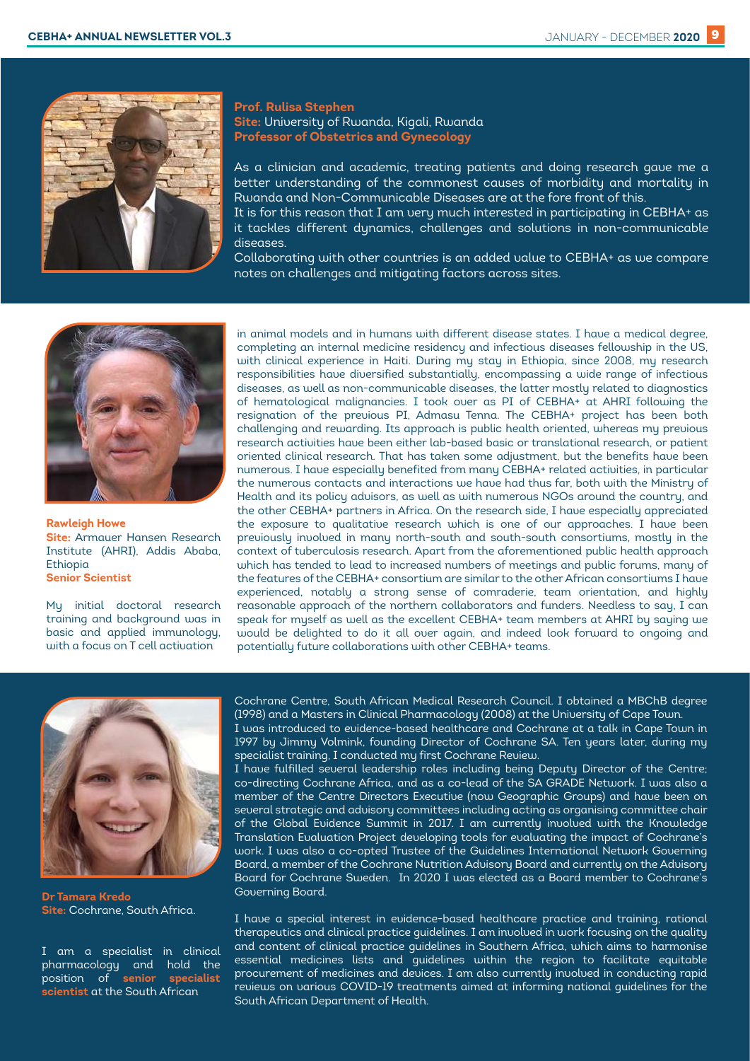

#### **Prof. Rulisa Stephen Site:** University of Rwanda, Kigali, Rwanda **Professor of Obstetrics and Gynecology**

As a clinician and academic, treating patients and doing research gave me a better understanding of the commonest causes of morbidity and mortality in Rwanda and Non-Communicable Diseases are at the fore front of this.

It is for this reason that I am very much interested in participating in CEBHA+ as it tackles different dynamics, challenges and solutions in non-communicable diseases.

Collaborating with other countries is an added value to CEBHA+ as we compare notes on challenges and mitigating factors across sites.



**Rawleigh Howe Site:** Armauer Hansen Research Institute (AHRI), Addis Ababa, Ethiopia **Senior Scientist** 

My initial doctoral research training and background was in basic and applied immunology, with a focus on T cell activation

in animal models and in humans with different disease states. I have a medical degree, completing an internal medicine residency and infectious diseases fellowship in the US, with clinical experience in Haiti. During my stay in Ethiopia, since 2008, my research responsibilities have diversified substantially, encompassing a wide range of infectious diseases, as well as non-communicable diseases, the latter mostly related to diagnostics of hematological malignancies. I took over as PI of CEBHA+ at AHRI following the resignation of the previous PI, Admasu Tenna. The CEBHA+ project has been both challenging and rewarding. Its approach is public health oriented, whereas my previous research activities have been either lab-based basic or translational research, or patient oriented clinical research. That has taken some adjustment, but the benefits have been numerous. I have especially benefited from many CEBHA+ related activities, in particular the numerous contacts and interactions we have had thus far, both with the Ministry of Health and its policy advisors, as well as with numerous NGOs around the country, and the other CEBHA+ partners in Africa. On the research side, I have especially appreciated the exposure to qualitative research which is one of our approaches. I have been previously involved in many north-south and south-south consortiums, mostly in the context of tuberculosis research. Apart from the aforementioned public health approach which has tended to lead to increased numbers of meetings and public forums, many of the features of the CEBHA+ consortium are similar to the other African consortiums I have experienced, notably a strong sense of comraderie, team orientation, and highly reasonable approach of the northern collaborators and funders. Needless to say, I can speak for myself as well as the excellent CEBHA+ team members at AHRI by saying we would be delighted to do it all over again, and indeed look forward to ongoing and potentially future collaborations with other CEBHA+ teams.



**Dr Tamara Kredo Site:** Cochrane, South Africa.

I am a specialist in clinical pharmacology and hold the position of **senior specialist scientist** at the South African

Cochrane Centre, South African Medical Research Council. I obtained a MBChB degree (1998) and a Masters in Clinical Pharmacology (2008) at the University of Cape Town. I was introduced to evidence-based healthcare and Cochrane at a talk in Cape Town in

1997 by Jimmy Volmink, founding Director of Cochrane SA. Ten years later, during my specialist training, I conducted my first Cochrane Review.

I have fulfilled several leadership roles including being Deputy Director of the Centre; co-directing Cochrane Africa, and as a co-lead of the SA GRADE Network. I was also a member of the Centre Directors Executive (now Geographic Groups) and have been on several strategic and advisory committees including acting as organising committee chair of the Global Evidence Summit in 2017. I am currently involved with the Knowledge Translation Evaluation Project developing tools for evaluating the impact of Cochrane's work. I was also a co-opted Trustee of the Guidelines International Network Governing Board, a member of the Cochrane Nutrition Advisory Board and currently on the Advisory Board for Cochrane Sweden. In 2020 I was elected as a Board member to Cochrane's Governing Board.

I have a special interest in evidence-based healthcare practice and training, rational therapeutics and clinical practice guidelines. I am involved in work focusing on the quality and content of clinical practice guidelines in Southern Africa, which aims to harmonise essential medicines lists and guidelines within the region to facilitate equitable procurement of medicines and devices. I am also currently involved in conducting rapid reviews on various COVID-19 treatments aimed at informing national guidelines for the South African Department of Health.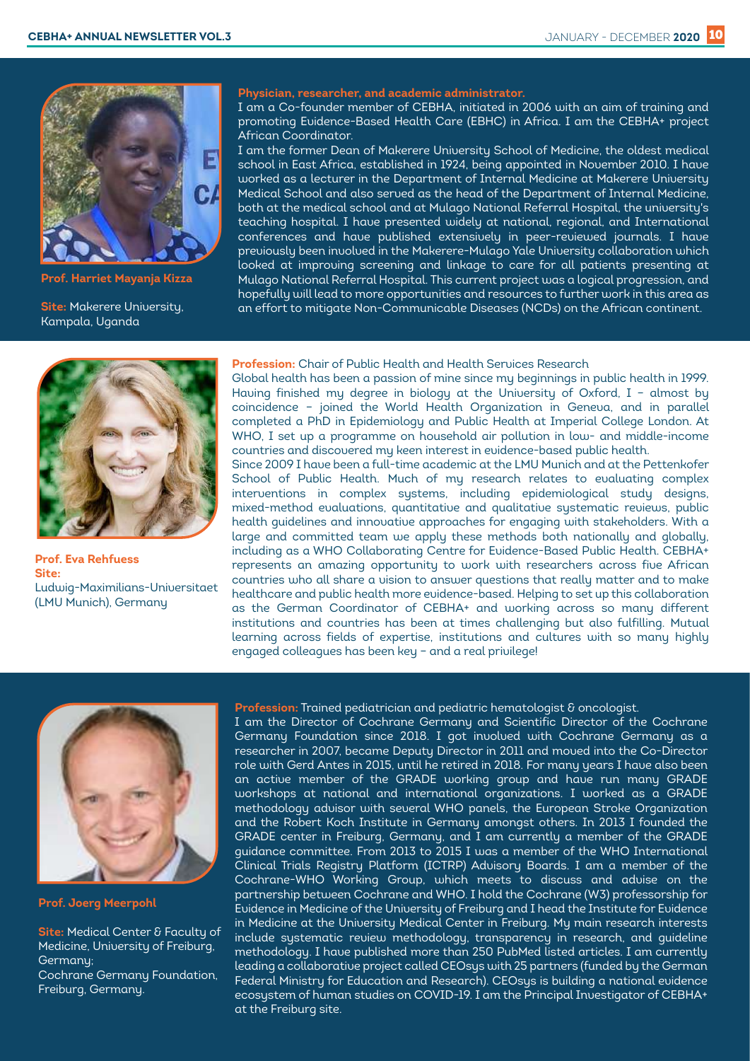

**Prof. Harriet Mayanja Kizza**

**Site:** Makerere University, Kampala, Uganda



I am a Co-founder member of CEBHA, initiated in 2006 with an aim of training and promoting Evidence-Based Health Care (EBHC) in Africa. I am the CEBHA+ project African Coordinator.

I am the former Dean of Makerere University School of Medicine, the oldest medical school in East Africa, established in 1924, being appointed in November 2010. I have worked as a lecturer in the Department of Internal Medicine at Makerere University Medical School and also served as the head of the Department of Internal Medicine, both at the medical school and at Mulago National Referral Hospital, the university's teaching hospital. I have presented widely at national, regional, and International conferences and have published extensively in peer-reviewed journals. I have previously been involved in the Makerere-Mulago Yale University collaboration which looked at improving screening and linkage to care for all patients presenting at Mulago National Referral Hospital. This current project was a logical progression, and hopefully will lead to more opportunities and resources to further work in this area as an effort to mitigate Non-Communicable Diseases (NCDs) on the African continent.



**Prof. Eva Rehfuess Site:** Ludwig-Maximilians-Universitaet (LMU Munich), Germany

#### **Profession:** Chair of Public Health and Health Services Research

Global health has been a passion of mine since my beginnings in public health in 1999. Having finished my degree in biology at the University of Oxford, I – almost by coincidence – joined the World Health Organization in Geneva, and in parallel completed a PhD in Epidemiology and Public Health at Imperial College London. At WHO, I set up a programme on household air pollution in low- and middle-income countries and discovered my keen interest in evidence-based public health. Since 2009 I have been a full-time academic at the LMU Munich and at the Pettenkofer School of Public Health. Much of my research relates to evaluating complex interventions in complex systems, including epidemiological study designs, mixed-method evaluations, quantitative and qualitative systematic reviews, public health guidelines and innovative approaches for engaging with stakeholders. With a large and committed team we apply these methods both nationally and globally, including as a WHO Collaborating Centre for Evidence-Based Public Health. CEBHA+ represents an amazing opportunity to work with researchers across five African countries who all share a vision to answer questions that really matter and to make healthcare and public health more evidence-based. Helping to set up this collaboration as the German Coordinator of CEBHA+ and working across so many different institutions and countries has been at times challenging but also fulfilling. Mutual learning across fields of expertise, institutions and cultures with so many highly engaged colleagues has been key – and a real privilege!



**Prof. Joerg Meerpohl** 

**Site: Medical Center & Faculty of** Medicine, University of Freiburg, Germany; Cochrane Germany Foundation, Freiburg, Germany.

#### **Profession:** Trained pediatrician and pediatric hematologist & oncologist.

I am the Director of Cochrane Germany and Scientific Director of the Cochrane Germany Foundation since 2018. I got involved with Cochrane Germany as a researcher in 2007, became Deputy Director in 2011 and moved into the Co-Director role with Gerd Antes in 2015, until he retired in 2018. For many years I have also been an active member of the GRADE working group and have run many GRADE workshops at national and international organizations. I worked as a GRADE methodology advisor with several WHO panels, the European Stroke Organization and the Robert Koch Institute in Germany amongst others. In 2013 I founded the GRADE center in Freiburg, Germany, and I am currently a member of the GRADE guidance committee. From 2013 to 2015 I was a member of the WHO International Clinical Trials Registry Platform (ICTRP) Advisory Boards. I am a member of the Cochrane-WHO Working Group, which meets to discuss and advise on the partnership between Cochrane and WHO. I hold the Cochrane (W3) professorship for Evidence in Medicine of the University of Freiburg and I head the Institute for Evidence in Medicine at the University Medical Center in Freiburg. My main research interests include systematic review methodology, transparency in research, and guideline methodology. I have published more than 250 PubMed listed articles. I am currently leading a collaborative project called CEOsys with 25 partners (funded by the German Federal Ministry for Education and Research). CEOsys is building a national evidence ecosystem of human studies on COVID-19. I am the Principal Investigator of CEBHA+ at the Freiburg site.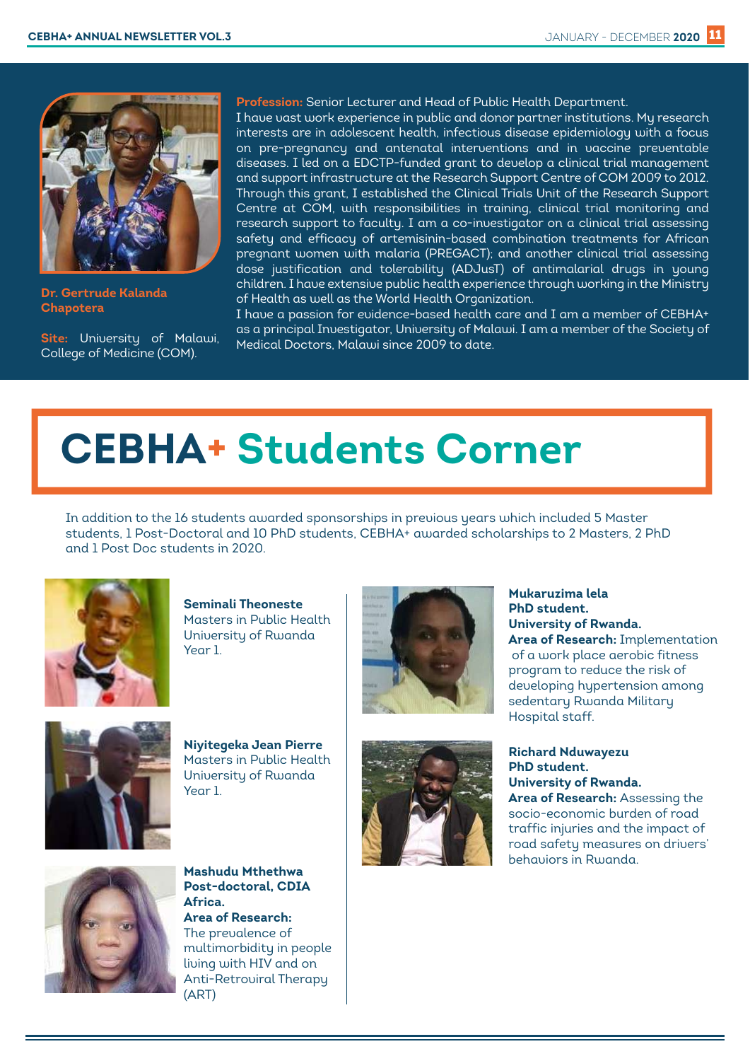

**Dr. Gertrude Kalanda Chapotera**

**Site:** University of Malawi, College of Medicine (COM).

**Profession:** Senior Lecturer and Head of Public Health Department.

I have vast work experience in public and donor partner institutions. My research interests are in adolescent health, infectious disease epidemiology with a focus on pre-pregnancy and antenatal interventions and in vaccine preventable diseases. I led on a EDCTP-funded grant to develop a clinical trial management and support infrastructure at the Research Support Centre of COM 2009 to 2012. Through this grant, I established the Clinical Trials Unit of the Research Support Centre at COM, with responsibilities in training, clinical trial monitoring and research support to faculty. I am a co-investigator on a clinical trial assessing safety and efficacy of artemisinin-based combination treatments for African pregnant women with malaria (PREGACT); and another clinical trial assessing dose justification and tolerability (ADJusT) of antimalarial drugs in young children. I have extensive public health experience through working in the Ministry of Health as well as the World Health Organization.

I have a passion for evidence-based health care and I am a member of CEBHA+ as a principal Investigator, University of Malawi. I am a member of the Society of Medical Doctors, Malawi since 2009 to date.

# **CEBHA+ Students Corner**

In addition to the 16 students awarded sponsorships in previous years which included 5 Master students, 1 Post-Doctoral and 10 PhD students, CEBHA+ awarded scholarships to 2 Masters, 2 PhD and 1 Post Doc students in 2020.



**Seminali Theoneste** Masters in Public Health University of Rwanda Year 1.



**Niyitegeka Jean Pierre** Masters in Public Health University of Rwanda Year 1.





**Mukaruzima lela**

**Richard Nduwayezu PhD student. University of Rwanda. Area of Research:** Assessing the socio-economic burden of road traffic injuries and the impact of road safety measures on drivers' behaviors in Rwanda.



**Mashudu Mthethwa Post-doctoral, CDIA Africa. Area of Research:**  The prevalence of multimorbidity in people living with HIV and on Anti-Retroviral Therapy (ART)